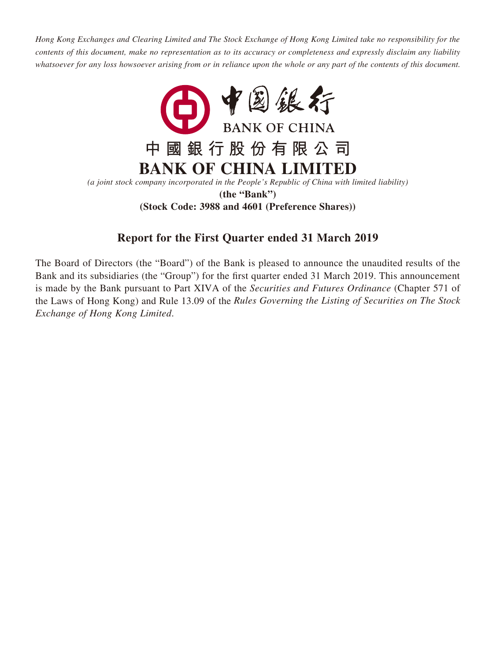*Hong Kong Exchanges and Clearing Limited and The Stock Exchange of Hong Kong Limited take no responsibility for the contents of this document, make no representation as to its accuracy or completeness and expressly disclaim any liability whatsoever for any loss howsoever arising from or in reliance upon the whole or any part of the contents of this document.*



**(Stock Code: 3988 and 4601 (Preference Shares))**

# **Report for the First Quarter ended 31 March 2019**

The Board of Directors (the "Board") of the Bank is pleased to announce the unaudited results of the Bank and its subsidiaries (the "Group") for the first quarter ended 31 March 2019. This announcement is made by the Bank pursuant to Part XIVA of the *Securities and Futures Ordinance* (Chapter 571 of the Laws of Hong Kong) and Rule 13.09 of the *Rules Governing the Listing of Securities on The Stock Exchange of Hong Kong Limited*.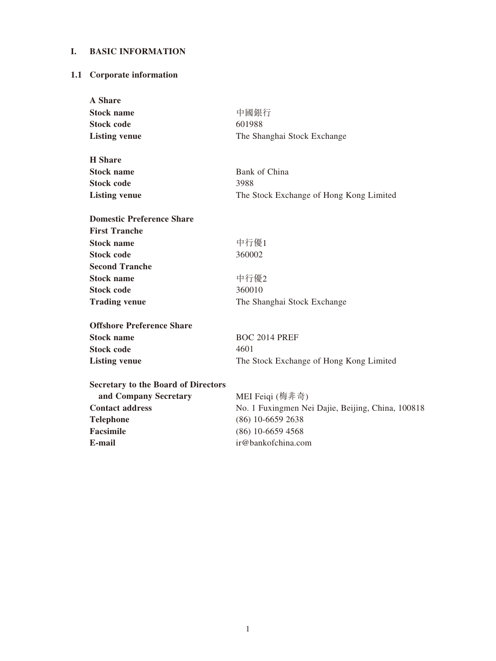# **I. BASIC INFORMATION**

# **1.1 Corporate information**

| <b>A</b> Share                             |                                                   |
|--------------------------------------------|---------------------------------------------------|
| <b>Stock name</b>                          | 中國銀行                                              |
| <b>Stock code</b>                          | 601988                                            |
| <b>Listing venue</b>                       | The Shanghai Stock Exchange                       |
| <b>H</b> Share                             |                                                   |
| <b>Stock name</b>                          | Bank of China                                     |
| <b>Stock code</b>                          | 3988                                              |
| <b>Listing venue</b>                       | The Stock Exchange of Hong Kong Limited           |
| <b>Domestic Preference Share</b>           |                                                   |
| <b>First Tranche</b>                       |                                                   |
| <b>Stock name</b>                          | 中行優1                                              |
| <b>Stock code</b>                          | 360002                                            |
| <b>Second Tranche</b>                      |                                                   |
| <b>Stock name</b>                          | 中行優2                                              |
| <b>Stock code</b>                          | 360010                                            |
| <b>Trading venue</b>                       | The Shanghai Stock Exchange                       |
| <b>Offshore Preference Share</b>           |                                                   |
| <b>Stock name</b>                          | <b>BOC 2014 PREF</b>                              |
| <b>Stock code</b>                          | 4601                                              |
| <b>Listing venue</b>                       | The Stock Exchange of Hong Kong Limited           |
| <b>Secretary to the Board of Directors</b> |                                                   |
| and Company Secretary                      | MEI Feiqi (梅非奇)                                   |
| <b>Contact address</b>                     | No. 1 Fuxingmen Nei Dajie, Beijing, China, 100818 |
| <b>Telephone</b>                           | (86) 10-6659 2638                                 |
| Facsimile                                  | $(86)$ 10-6659 4568                               |
| E-mail                                     | ir@bankofchina.com                                |
|                                            |                                                   |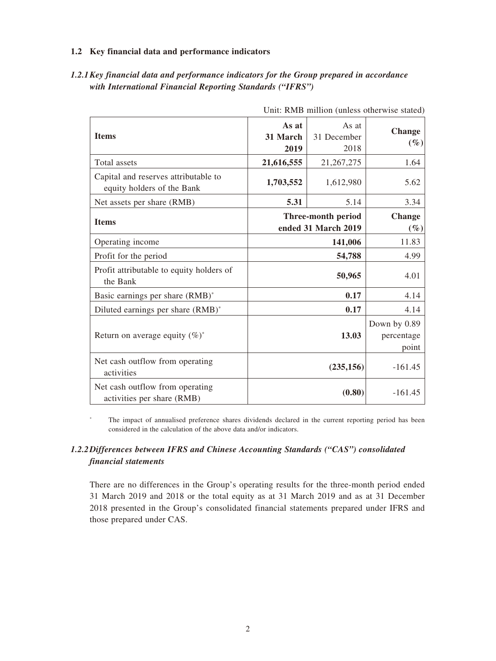#### **1.2 Key financial data and performance indicators**

| Unit: RMB million (unless otherwise stated)                        |                           |                              |                                     |
|--------------------------------------------------------------------|---------------------------|------------------------------|-------------------------------------|
| <b>Items</b>                                                       | As at<br>31 March<br>2019 | As at<br>31 December<br>2018 | <b>Change</b><br>$(\%)$             |
| Total assets                                                       | 21,616,555                | 21, 267, 275                 | 1.64                                |
| Capital and reserves attributable to<br>equity holders of the Bank | 1,703,552                 | 1,612,980                    | 5.62                                |
| Net assets per share (RMB)                                         | 5.31                      | 5.14                         | 3.34                                |
| <b>Items</b>                                                       |                           | Three-month period           | <b>Change</b>                       |
|                                                                    |                           | ended 31 March 2019          | $(\%)$                              |
| Operating income                                                   |                           | 11.83                        |                                     |
| Profit for the period                                              | 54,788                    |                              | 4.99                                |
| Profit attributable to equity holders of<br>the Bank               | 50,965                    |                              | 4.01                                |
| Basic earnings per share (RMB)*                                    |                           | 0.17                         | 4.14                                |
| Diluted earnings per share (RMB)*                                  |                           | 0.17                         | 4.14                                |
| Return on average equity $(\%)^*$                                  | 13.03                     |                              | Down by 0.89<br>percentage<br>point |
| Net cash outflow from operating<br>activities                      |                           | (235, 156)                   | $-161.45$                           |
| Net cash outflow from operating<br>activities per share (RMB)      |                           | (0.80)                       | $-161.45$                           |

*1.2.1Key financial data and performance indicators for the Group prepared in accordance with International Financial Reporting Standards ("IFRS")*

\* The impact of annualised preference shares dividends declared in the current reporting period has been considered in the calculation of the above data and/or indicators.

# *1.2.2Differences between IFRS and Chinese Accounting Standards ("CAS") consolidated financial statements*

There are no differences in the Group's operating results for the three-month period ended 31 March 2019 and 2018 or the total equity as at 31 March 2019 and as at 31 December 2018 presented in the Group's consolidated financial statements prepared under IFRS and those prepared under CAS.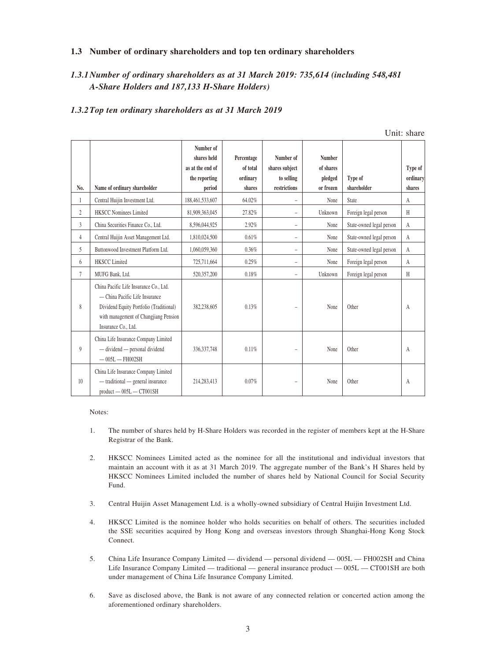#### **1.3 Number of ordinary shareholders and top ten ordinary shareholders**

## *1.3.1Number of ordinary shareholders as at 31 March 2019: 735,614 (including 548,481 A-Share Holders and 187,133 H-Share Holders)*

#### *1.3.2Top ten ordinary shareholders as at 31 March 2019*

|                |                                                                                                                                                                                     |                                                                         |                                              |                                                           |                                                    |                          | Unit: share                   |
|----------------|-------------------------------------------------------------------------------------------------------------------------------------------------------------------------------------|-------------------------------------------------------------------------|----------------------------------------------|-----------------------------------------------------------|----------------------------------------------------|--------------------------|-------------------------------|
| No.            | Name of ordinary shareholder                                                                                                                                                        | Number of<br>shares held<br>as at the end of<br>the reporting<br>period | Percentage<br>of total<br>ordinary<br>shares | Number of<br>shares subject<br>to selling<br>restrictions | <b>Number</b><br>of shares<br>pledged<br>or frozen | Type of<br>shareholder   | Type of<br>ordinary<br>shares |
|                | Central Huijin Investment Ltd.                                                                                                                                                      | 188,461,533,607                                                         | 64.02%                                       | $\overline{\phantom{a}}$                                  | None                                               | State                    | A                             |
| $\overline{2}$ | <b>HKSCC Nominees Limited</b>                                                                                                                                                       | 81,909,363,045                                                          | 27.82%                                       | $\overline{\phantom{a}}$                                  | Unknown                                            | Foreign legal person     | H                             |
| 3              | China Securities Finance Co., Ltd.                                                                                                                                                  | 8,596,044,925                                                           | 2.92%                                        | $\overline{\phantom{a}}$                                  | None                                               | State-owned legal person | $\mathsf{A}$                  |
| 4              | Central Huijin Asset Management Ltd.                                                                                                                                                | 1,810,024,500                                                           | 0.61%                                        | $\overline{\phantom{0}}$                                  | None                                               | State-owned legal person | A                             |
| 5              | Buttonwood Investment Platform Ltd.                                                                                                                                                 | 1,060,059,360                                                           | 0.36%                                        | $\overline{\phantom{a}}$                                  | None                                               | State-owned legal person | А                             |
| 6              | <b>HKSCC</b> Limited                                                                                                                                                                | 725,711,664                                                             | 0.25%                                        | $\overline{\phantom{a}}$                                  | None                                               | Foreign legal person     | A                             |
| $\tau$         | MUFG Bank, Ltd.                                                                                                                                                                     | 520,357,200                                                             | 0.18%                                        | $\overline{\phantom{0}}$                                  | Unknown                                            | Foreign legal person     | H                             |
| 8              | China Pacific Life Insurance Co., Ltd.<br>- China Pacific Life Insurance<br>Dividend Equity Portfolio (Traditional)<br>with management of Changjiang Pension<br>Insurance Co., Ltd. | 382,238,605                                                             | 0.13%                                        | $\overline{\phantom{0}}$                                  | None                                               | Other                    | A                             |
| 9              | China Life Insurance Company Limited<br>- dividend - personal dividend<br>$-005L - FH002SH$                                                                                         | 336, 337, 748                                                           | 0.11%                                        | $\overline{\phantom{0}}$                                  | None                                               | Other                    | A                             |
| 10             | China Life Insurance Company Limited<br>- traditional - general insurance<br>$product - 005L - CT001SH$                                                                             | 214, 283, 413                                                           | 0.07%                                        | $\overline{\phantom{0}}$                                  | None                                               | Other                    | A                             |

 $\mathbf{v}$  share share share share share share share share share share share share share share share share share share share share share share share share share share share share share share share share share share share sh

Notes:

- 1. The number of shares held by H-Share Holders was recorded in the register of members kept at the H-Share Registrar of the Bank.
- 2. HKSCC Nominees Limited acted as the nominee for all the institutional and individual investors that maintain an account with it as at 31 March 2019. The aggregate number of the Bank's H Shares held by HKSCC Nominees Limited included the number of shares held by National Council for Social Security Fund.
- 3. Central Huijin Asset Management Ltd. is a wholly-owned subsidiary of Central Huijin Investment Ltd.
- 4. HKSCC Limited is the nominee holder who holds securities on behalf of others. The securities included the SSE securities acquired by Hong Kong and overseas investors through Shanghai-Hong Kong Stock Connect.
- 5. China Life Insurance Company Limited dividend personal dividend 005L FH002SH and China Life Insurance Company Limited — traditional — general insurance product — 005L — CT001SH are both under management of China Life Insurance Company Limited.
- 6. Save as disclosed above, the Bank is not aware of any connected relation or concerted action among the aforementioned ordinary shareholders.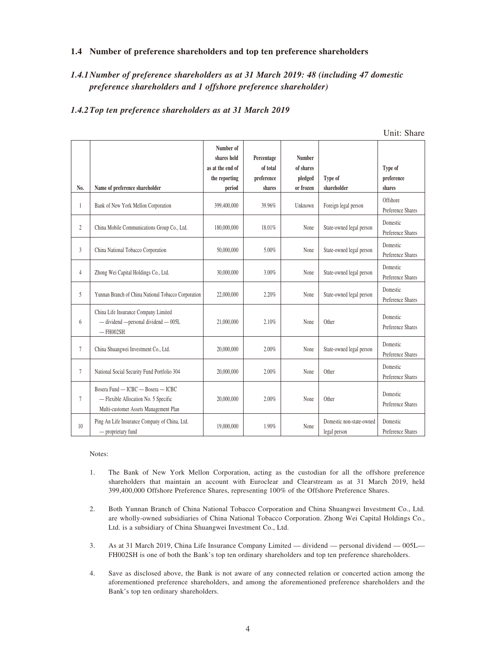#### **1.4 Number of preference shareholders and top ten preference shareholders**

# *1.4.1Number of preference shareholders as at 31 March 2019: 48 (including 47 domestic preference shareholders and 1 offshore preference shareholder)*

#### *1.4.2Top ten preference shareholders as at 31 March 2019*

|                |                                                                                                                     |                          |            |               |                                          | Unit: Share                   |
|----------------|---------------------------------------------------------------------------------------------------------------------|--------------------------|------------|---------------|------------------------------------------|-------------------------------|
|                |                                                                                                                     | Number of<br>shares held | Percentage | <b>Number</b> |                                          |                               |
|                |                                                                                                                     | as at the end of         | of total   | of shares     |                                          | Type of                       |
|                |                                                                                                                     | the reporting            | preference | pledged       | Type of                                  | preference                    |
| No.            | Name of preference shareholder                                                                                      | period                   | shares     | or frozen     | shareholder                              | shares                        |
| 1              | Bank of New York Mellon Corporation                                                                                 | 399,400,000              | 39.96%     | Unknown       | Foreign legal person                     | Offshore<br>Preference Shares |
| $\overline{2}$ | China Mobile Communications Group Co., Ltd.                                                                         | 180,000,000              | 18.01%     | None          | State-owned legal person                 | Domestic<br>Preference Shares |
| 3              | China National Tobacco Corporation                                                                                  | 50,000,000               | 5.00%      | None          | State-owned legal person                 | Domestic<br>Preference Shares |
| $\overline{4}$ | Zhong Wei Capital Holdings Co., Ltd.                                                                                | 30,000,000               | 3.00%      | None          | State-owned legal person                 | Domestic<br>Preference Shares |
| 5              | Yunnan Branch of China National Tobacco Corporation                                                                 | 22,000,000               | 2.20%      | None          | State-owned legal person                 | Domestic<br>Preference Shares |
| 6              | China Life Insurance Company Limited<br>- dividend - personal dividend - 005L<br>$-$ FH002SH                        | 21,000,000               | 2.10%      | None          | Other                                    | Domestic<br>Preference Shares |
| $\tau$         | China Shuangwei Investment Co., Ltd.                                                                                | 20,000,000               | 2.00%      | None          | State-owned legal person                 | Domestic<br>Preference Shares |
| $\tau$         | National Social Security Fund Portfolio 304                                                                         | 20,000,000               | 2.00%      | None          | Other                                    | Domestic<br>Preference Shares |
| 7              | Bosera Fund - ICBC - Bosera - ICBC<br>- Flexible Allocation No. 5 Specific<br>Multi-customer Assets Management Plan | 20,000,000               | 2.00%      | None          | Other                                    | Domestic<br>Preference Shares |
| 10             | Ping An Life Insurance Company of China, Ltd.<br>- proprietary fund                                                 | 19,000,000               | 1.90%      | None          | Domestic non-state-owned<br>legal person | Domestic<br>Preference Shares |

 $\overline{y}$   $\overline{y}$   $\overline{y}$   $\overline{y}$   $\overline{y}$   $\overline{y}$   $\overline{y}$   $\overline{y}$   $\overline{y}$   $\overline{y}$   $\overline{y}$   $\overline{y}$   $\overline{y}$   $\overline{y}$   $\overline{y}$   $\overline{y}$   $\overline{y}$   $\overline{y}$   $\overline{y}$   $\overline{y}$   $\overline{y}$   $\overline{y}$   $\overline{y}$   $\overline{y}$   $\overline{$ 

Notes:

- 1. The Bank of New York Mellon Corporation, acting as the custodian for all the offshore preference shareholders that maintain an account with Euroclear and Clearstream as at 31 March 2019, held 399,400,000 Offshore Preference Shares, representing 100% of the Offshore Preference Shares.
- 2. Both Yunnan Branch of China National Tobacco Corporation and China Shuangwei Investment Co., Ltd. are wholly-owned subsidiaries of China National Tobacco Corporation. Zhong Wei Capital Holdings Co., Ltd. is a subsidiary of China Shuangwei Investment Co., Ltd.
- 3. As at 31 March 2019, China Life Insurance Company Limited dividend personal dividend 005L— FH002SH is one of both the Bank's top ten ordinary shareholders and top ten preference shareholders.
- 4. Save as disclosed above, the Bank is not aware of any connected relation or concerted action among the aforementioned preference shareholders, and among the aforementioned preference shareholders and the Bank's top ten ordinary shareholders.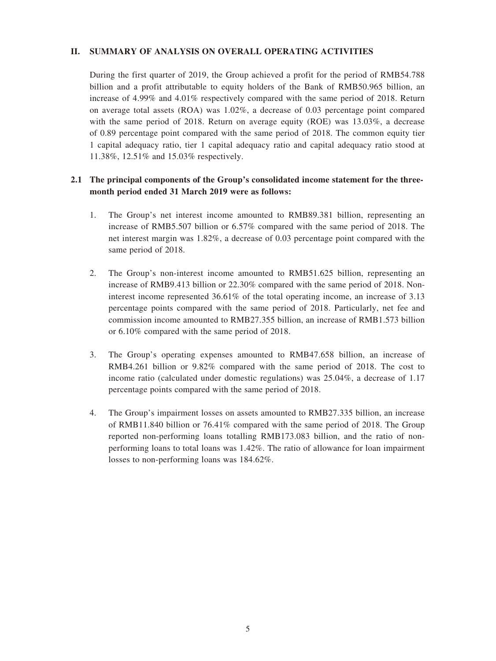#### **II. SUMMARY OF ANALYSIS ON OVERALL OPERATING ACTIVITIES**

During the first quarter of 2019, the Group achieved a profit for the period of RMB54.788 billion and a profit attributable to equity holders of the Bank of RMB50.965 billion, an increase of 4.99% and 4.01% respectively compared with the same period of 2018. Return on average total assets (ROA) was 1.02%, a decrease of 0.03 percentage point compared with the same period of 2018. Return on average equity (ROE) was 13.03%, a decrease of 0.89 percentage point compared with the same period of 2018. The common equity tier 1 capital adequacy ratio, tier 1 capital adequacy ratio and capital adequacy ratio stood at 11.38%, 12.51% and 15.03% respectively.

## **2.1 The principal components of the Group's consolidated income statement for the threemonth period ended 31 March 2019 were as follows:**

- 1. The Group's net interest income amounted to RMB89.381 billion, representing an increase of RMB5.507 billion or 6.57% compared with the same period of 2018. The net interest margin was 1.82%, a decrease of 0.03 percentage point compared with the same period of 2018.
- 2. The Group's non-interest income amounted to RMB51.625 billion, representing an increase of RMB9.413 billion or 22.30% compared with the same period of 2018. Noninterest income represented 36.61% of the total operating income, an increase of 3.13 percentage points compared with the same period of 2018. Particularly, net fee and commission income amounted to RMB27.355 billion, an increase of RMB1.573 billion or 6.10% compared with the same period of 2018.
- 3. The Group's operating expenses amounted to RMB47.658 billion, an increase of RMB4.261 billion or 9.82% compared with the same period of 2018. The cost to income ratio (calculated under domestic regulations) was 25.04%, a decrease of 1.17 percentage points compared with the same period of 2018.
- 4. The Group's impairment losses on assets amounted to RMB27.335 billion, an increase of RMB11.840 billion or 76.41% compared with the same period of 2018. The Group reported non-performing loans totalling RMB173.083 billion, and the ratio of nonperforming loans to total loans was 1.42%. The ratio of allowance for loan impairment losses to non-performing loans was 184.62%.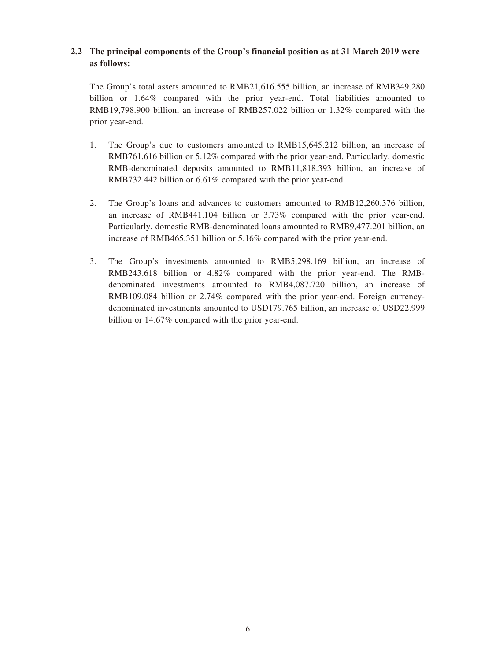## **2.2 The principal components of the Group's financial position as at 31 March 2019 were as follows:**

The Group's total assets amounted to RMB21,616.555 billion, an increase of RMB349.280 billion or 1.64% compared with the prior year-end. Total liabilities amounted to RMB19,798.900 billion, an increase of RMB257.022 billion or 1.32% compared with the prior year-end.

- 1. The Group's due to customers amounted to RMB15,645.212 billion, an increase of RMB761.616 billion or 5.12% compared with the prior year-end. Particularly, domestic RMB-denominated deposits amounted to RMB11,818.393 billion, an increase of RMB732.442 billion or 6.61% compared with the prior year-end.
- 2. The Group's loans and advances to customers amounted to RMB12,260.376 billion, an increase of RMB441.104 billion or 3.73% compared with the prior year-end. Particularly, domestic RMB-denominated loans amounted to RMB9,477.201 billion, an increase of RMB465.351 billion or 5.16% compared with the prior year-end.
- 3. The Group's investments amounted to RMB5,298.169 billion, an increase of RMB243.618 billion or 4.82% compared with the prior year-end. The RMBdenominated investments amounted to RMB4,087.720 billion, an increase of RMB109.084 billion or 2.74% compared with the prior year-end. Foreign currencydenominated investments amounted to USD179.765 billion, an increase of USD22.999 billion or 14.67% compared with the prior year-end.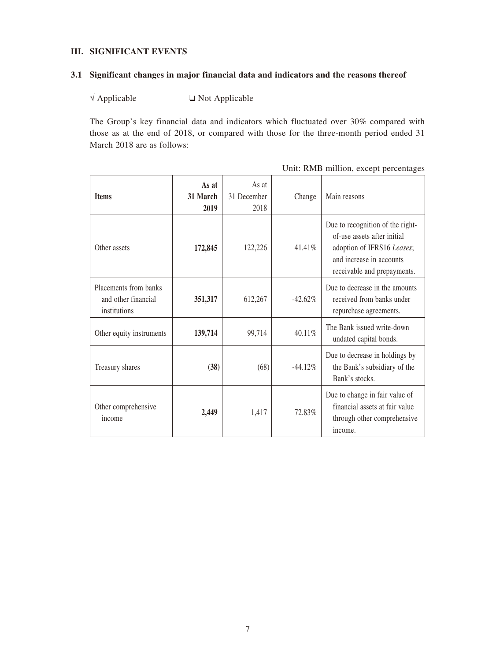### **III. SIGNIFICANT EVENTS**

#### **3.1 Significant changes in major financial data and indicators and the reasons thereof**

 $\sqrt{\text{Applied}}$   $\Box$  Not Applicable

The Group's key financial data and indicators which fluctuated over 30% compared with those as at the end of 2018, or compared with those for the three-month period ended 31 March 2018 are as follows:

| <b>Items</b>                                                 | As at<br>31 March      | As at<br>31 December |            | Main reasons                                                                                                                                             |
|--------------------------------------------------------------|------------------------|----------------------|------------|----------------------------------------------------------------------------------------------------------------------------------------------------------|
|                                                              | Change<br>2019<br>2018 |                      |            |                                                                                                                                                          |
| Other assets                                                 | 172,845                | 122,226              | 41.41%     | Due to recognition of the right-<br>of-use assets after initial<br>adoption of IFRS16 Leases;<br>and increase in accounts<br>receivable and prepayments. |
| Placements from banks<br>and other financial<br>institutions | 351,317                | 612,267              | $-42.62%$  | Due to decrease in the amounts<br>received from banks under<br>repurchase agreements.                                                                    |
| Other equity instruments                                     | 139,714                | 99,714               | 40.11%     | The Bank issued write-down<br>undated capital bonds.                                                                                                     |
| Treasury shares                                              | (38)                   | (68)                 | $-44.12\%$ | Due to decrease in holdings by<br>the Bank's subsidiary of the<br>Bank's stocks.                                                                         |
| Other comprehensive<br>income                                | 2,449                  | 1,417                | 72.83%     | Due to change in fair value of<br>financial assets at fair value<br>through other comprehensive<br>income.                                               |

Unit: RMB million, except percentages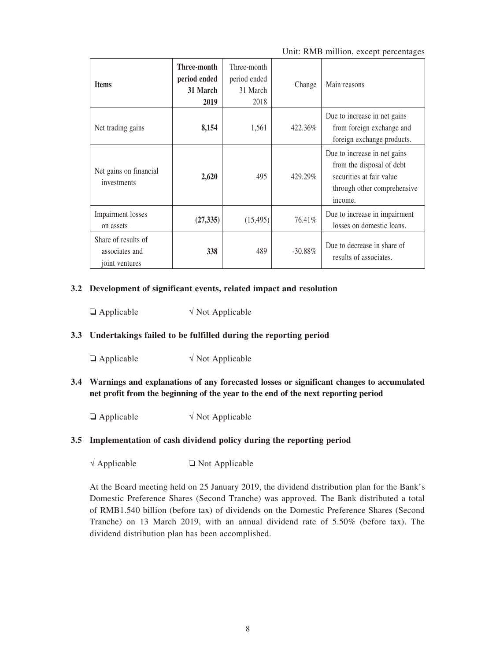Unit: RMB million, except percentages

| <b>Items</b>                                            | Three-month<br>period ended<br>31 March<br>2019 | Three-month<br>period ended<br>31 March<br>2018 | Change     | Main reasons                                                                                                                    |
|---------------------------------------------------------|-------------------------------------------------|-------------------------------------------------|------------|---------------------------------------------------------------------------------------------------------------------------------|
| Net trading gains                                       | 8,154                                           | 1,561                                           | 422.36%    | Due to increase in net gains<br>from foreign exchange and<br>foreign exchange products.                                         |
| Net gains on financial<br>investments                   | 2,620                                           | 495                                             | 429.29%    | Due to increase in net gains<br>from the disposal of debt<br>securities at fair value<br>through other comprehensive<br>income. |
| Impairment losses<br>on assets                          | (27, 335)                                       | (15, 495)                                       | 76.41%     | Due to increase in impairment<br>losses on domestic loans.                                                                      |
| Share of results of<br>associates and<br>joint ventures | 338                                             | 489                                             | $-30.88\%$ | Due to decrease in share of<br>results of associates.                                                                           |

#### **3.2 Development of significant events, related impact and resolution**

 $\Box$  Applicable  $\sqrt{\phantom{a}}$  Not Applicable

### **3.3 Undertakings failed to be fulfilled during the reporting period**

 $\Box$  Applicable  $\lor$  Not Applicable

**3.4 Warnings and explanations of any forecasted losses or significant changes to accumulated net profit from the beginning of the year to the end of the next reporting period**

 $\Box$  Applicable  $\lor$  Not Applicable

#### **3.5 Implementation of cash dividend policy during the reporting period**

 $\sqrt{\text{Applied}}$   $\Box$  Not Applicable

At the Board meeting held on 25 January 2019, the dividend distribution plan for the Bank's Domestic Preference Shares (Second Tranche) was approved. The Bank distributed a total of RMB1.540 billion (before tax) of dividends on the Domestic Preference Shares (Second Tranche) on 13 March 2019, with an annual dividend rate of 5.50% (before tax). The dividend distribution plan has been accomplished.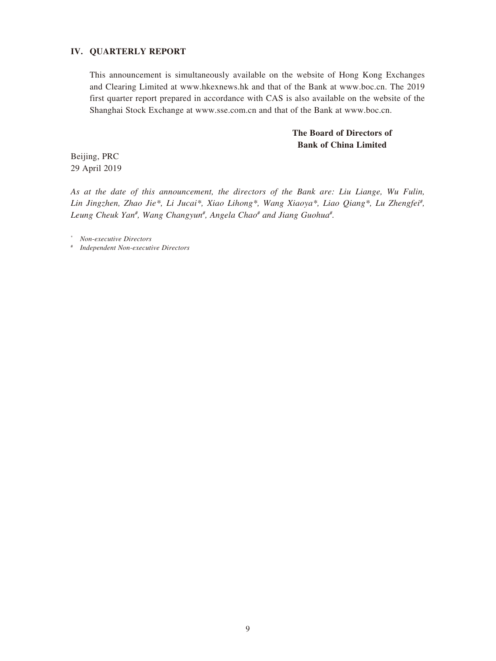### **IV. QUARTERLY REPORT**

This announcement is simultaneously available on the website of Hong Kong Exchanges and Clearing Limited at www.hkexnews.hk and that of the Bank at www.boc.cn. The 2019 first quarter report prepared in accordance with CAS is also available on the website of the Shanghai Stock Exchange at www.sse.com.cn and that of the Bank at www.boc.cn.

# **The Board of Directors of Bank of China Limited**

Beijing, PRC 29 April 2019

*As at the date of this announcement, the directors of the Bank are: Liu Liange, Wu Fulin, Lin Jingzhen, Zhao Jie\*, Li Jucai\*, Xiao Lihong\*, Wang Xiaoya\*, Liao Qiang\*, Lu Zhengfei# ,*  Leung Cheuk Yan<sup>#</sup>, Wang Changyun<sup>#</sup>, Angela Chao<sup>#</sup> and Jiang Guohua<sup>#</sup>.

\* *Non-executive Directors*

# *Independent Non-executive Directors*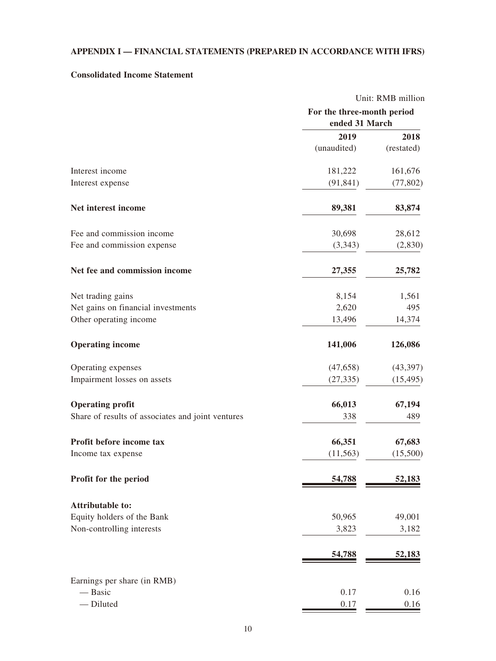# **APPENDIX I — FINANCIAL STATEMENTS (PREPARED IN ACCORDANCE WITH IFRS)**

# **Consolidated Income Statement**

|                                                   |                            | Unit: RMB million |
|---------------------------------------------------|----------------------------|-------------------|
|                                                   | For the three-month period |                   |
|                                                   | ended 31 March             |                   |
|                                                   | 2019                       | 2018              |
|                                                   | (unaudited)                | (restated)        |
| Interest income                                   | 181,222                    | 161,676           |
| Interest expense                                  | (91, 841)                  | (77, 802)         |
| Net interest income                               | 89,381                     | 83,874            |
| Fee and commission income                         | 30,698                     | 28,612            |
| Fee and commission expense                        | (3,343)                    | (2,830)           |
| Net fee and commission income                     | 27,355                     | 25,782            |
| Net trading gains                                 | 8,154                      | 1,561             |
| Net gains on financial investments                | 2,620                      | 495               |
| Other operating income                            | 13,496                     | 14,374            |
| <b>Operating income</b>                           | 141,006                    | 126,086           |
| Operating expenses                                | (47, 658)                  | (43,397)          |
| Impairment losses on assets                       | (27, 335)                  | (15, 495)         |
| <b>Operating profit</b>                           | 66,013                     | 67,194            |
| Share of results of associates and joint ventures | 338                        | 489               |
| Profit before income tax                          | 66,351                     | 67,683            |
| Income tax expense                                | (11, 563)                  | (15,500)          |
| Profit for the period                             | 54,788                     | 52,183            |
| <b>Attributable to:</b>                           |                            |                   |
| Equity holders of the Bank                        | 50,965                     | 49,001            |
| Non-controlling interests                         | 3,823                      | 3,182             |
|                                                   | 54,788                     | 52,183            |
| Earnings per share (in RMB)                       |                            |                   |
| - Basic                                           | 0.17                       | 0.16              |
| - Diluted                                         | 0.17                       | 0.16              |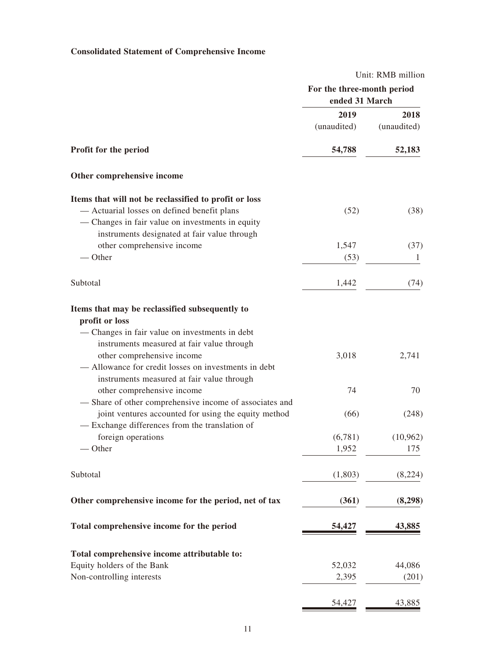# **Consolidated Statement of Comprehensive Income**

| Unit: RMB million          |                |  |
|----------------------------|----------------|--|
| For the three-month period |                |  |
|                            |                |  |
| 2019                       | 2018           |  |
| (unaudited)                | (unaudited)    |  |
| 54,788                     | 52,183         |  |
|                            |                |  |
|                            |                |  |
| (52)                       | (38)           |  |
|                            |                |  |
| 1,547                      | (37)           |  |
| (53)                       | 1              |  |
| 1,442                      | (74)           |  |
|                            |                |  |
| 3,018                      | 2,741          |  |
| 74                         | 70             |  |
| (66)                       | (248)          |  |
| (6,781)                    | (10, 962)      |  |
| 1,952                      | 175            |  |
| (1,803)                    | (8,224)        |  |
| (361)                      | (8,298)        |  |
| 54,427                     | 43,885         |  |
|                            |                |  |
| 52,032                     | 44,086         |  |
| 2,395                      | (201)          |  |
| 54,427                     | 43,885         |  |
|                            | ended 31 March |  |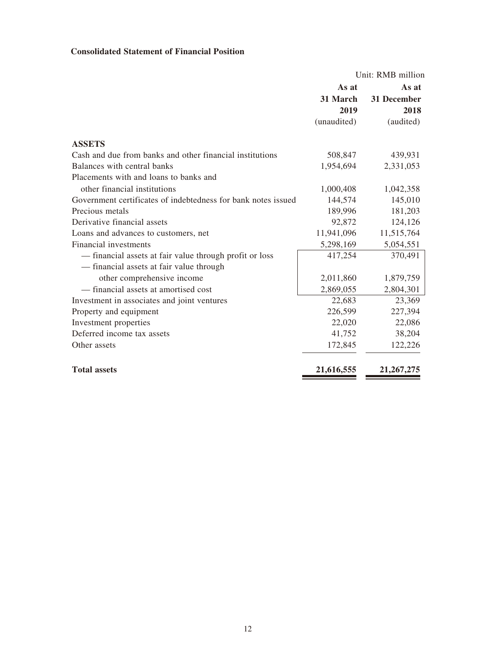# **Consolidated Statement of Financial Position**

|                                                               | Unit: RMB million |              |  |
|---------------------------------------------------------------|-------------------|--------------|--|
|                                                               | As at             | As at        |  |
|                                                               | 31 March          | 31 December  |  |
|                                                               | 2019              | 2018         |  |
|                                                               | (unaudited)       | (audited)    |  |
| <b>ASSETS</b>                                                 |                   |              |  |
| Cash and due from banks and other financial institutions      | 508,847           | 439,931      |  |
| Balances with central banks                                   | 1,954,694         | 2,331,053    |  |
| Placements with and loans to banks and                        |                   |              |  |
| other financial institutions                                  | 1,000,408         | 1,042,358    |  |
| Government certificates of indebtedness for bank notes issued | 144,574           | 145,010      |  |
| Precious metals                                               | 189,996           | 181,203      |  |
| Derivative financial assets                                   | 92,872            | 124,126      |  |
| Loans and advances to customers, net                          | 11,941,096        | 11,515,764   |  |
| Financial investments                                         | 5,298,169         | 5,054,551    |  |
| — financial assets at fair value through profit or loss       | 417,254           | 370,491      |  |
| - financial assets at fair value through                      |                   |              |  |
| other comprehensive income                                    | 2,011,860         | 1,879,759    |  |
| - financial assets at amortised cost                          | 2,869,055         | 2,804,301    |  |
| Investment in associates and joint ventures                   | 22,683            | 23,369       |  |
| Property and equipment                                        | 226,599           | 227,394      |  |
| Investment properties                                         | 22,020            | 22,086       |  |
| Deferred income tax assets                                    | 41,752            | 38,204       |  |
| Other assets                                                  | 172,845           | 122,226      |  |
| <b>Total assets</b>                                           | 21,616,555        | 21, 267, 275 |  |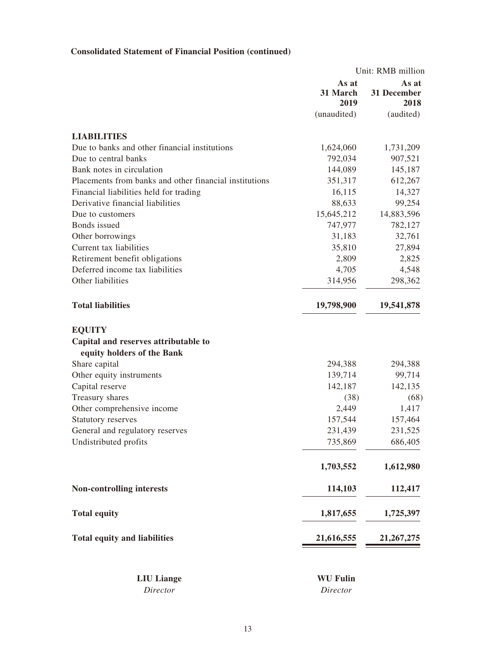# **Consolidated Statement of Financial Position (continued)**

|                                                        |                           | Unit: RMB million            |
|--------------------------------------------------------|---------------------------|------------------------------|
|                                                        | As at<br>31 March<br>2019 | As at<br>31 December<br>2018 |
|                                                        | (unaudited)               | (audited)                    |
| <b>LIABILITIES</b>                                     |                           |                              |
| Due to banks and other financial institutions          | 1,624,060                 | 1,731,209                    |
| Due to central banks                                   | 792,034                   | 907,521                      |
| Bank notes in circulation                              | 144,089                   | 145,187                      |
| Placements from banks and other financial institutions | 351,317                   | 612,267                      |
| Financial liabilities held for trading                 | 16,115                    | 14,327                       |
| Derivative financial liabilities                       | 88,633                    | 99,254                       |
| Due to customers                                       | 15,645,212                | 14,883,596                   |
| Bonds issued                                           | 747,977                   | 782,127                      |
| Other borrowings                                       | 31,183                    | 32,761                       |
| Current tax liabilities                                | 35,810                    | 27,894                       |
| Retirement benefit obligations                         | 2,809                     | 2,825                        |
| Deferred income tax liabilities                        | 4,705                     | 4,548                        |
| Other liabilities                                      | 314,956                   | 298,362                      |
| <b>Total liabilities</b>                               | 19,798,900                | 19,541,878                   |
| <b>EQUITY</b>                                          |                           |                              |
| Capital and reserves attributable to                   |                           |                              |
| equity holders of the Bank                             |                           |                              |
| Share capital                                          | 294,388                   | 294,388                      |
| Other equity instruments                               | 139,714                   | 99,714                       |
| Capital reserve                                        | 142,187                   | 142,135                      |
| Treasury shares                                        | (38)                      | (68)                         |
| Other comprehensive income                             | 2,449                     | 1,417                        |
| Statutory reserves                                     | 157,544                   | 157,464                      |
| General and regulatory reserves                        | 231,439                   | 231,525                      |
| Undistributed profits                                  | 735,869                   | 686,405                      |
|                                                        | 1,703,552                 | 1,612,980                    |
| <b>Non-controlling interests</b>                       | 114,103                   | 112,417                      |
| <b>Total equity</b>                                    | 1,817,655                 | 1,725,397                    |
| <b>Total equity and liabilities</b>                    | 21,616,555                | 21, 267, 275                 |
|                                                        |                           |                              |
| <b>LIU</b> Liange                                      | <b>WU Fulin</b>           |                              |

*Director Director*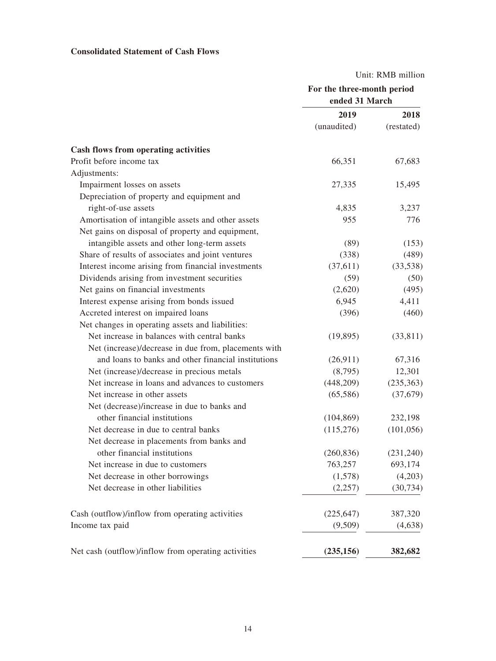# **Consolidated Statement of Cash Flows**

Unit: RMB million

|                                                      | For the three-month period<br>ended 31 March |            |  |
|------------------------------------------------------|----------------------------------------------|------------|--|
|                                                      | 2019                                         | 2018       |  |
|                                                      | (unaudited)                                  | (restated) |  |
| <b>Cash flows from operating activities</b>          |                                              |            |  |
| Profit before income tax                             | 66,351                                       | 67,683     |  |
| Adjustments:                                         |                                              |            |  |
| Impairment losses on assets                          | 27,335                                       | 15,495     |  |
| Depreciation of property and equipment and           |                                              |            |  |
| right-of-use assets                                  | 4,835                                        | 3,237      |  |
| Amortisation of intangible assets and other assets   | 955                                          | 776        |  |
| Net gains on disposal of property and equipment,     |                                              |            |  |
| intangible assets and other long-term assets         | (89)                                         | (153)      |  |
| Share of results of associates and joint ventures    | (338)                                        | (489)      |  |
| Interest income arising from financial investments   | (37,611)                                     | (33,538)   |  |
| Dividends arising from investment securities         | (59)                                         | (50)       |  |
| Net gains on financial investments                   | (2,620)                                      | (495)      |  |
| Interest expense arising from bonds issued           | 6,945                                        | 4,411      |  |
| Accreted interest on impaired loans                  | (396)                                        | (460)      |  |
| Net changes in operating assets and liabilities:     |                                              |            |  |
| Net increase in balances with central banks          | (19, 895)                                    | (33, 811)  |  |
| Net (increase)/decrease in due from, placements with |                                              |            |  |
| and loans to banks and other financial institutions  | (26,911)                                     | 67,316     |  |
| Net (increase)/decrease in precious metals           | (8,795)                                      | 12,301     |  |
| Net increase in loans and advances to customers      | (448,209)                                    | (235, 363) |  |
| Net increase in other assets                         | (65,586)                                     | (37,679)   |  |
| Net (decrease)/increase in due to banks and          |                                              |            |  |
| other financial institutions                         | (104, 869)                                   | 232,198    |  |
| Net decrease in due to central banks                 | (115,276)                                    | (101, 056) |  |
| Net decrease in placements from banks and            |                                              |            |  |
| other financial institutions                         | (260, 836)                                   | (231,240)  |  |
| Net increase in due to customers                     | 763,257                                      | 693,174    |  |
| Net decrease in other borrowings                     | (1,578)                                      | (4,203)    |  |
| Net decrease in other liabilities                    | (2,257)                                      | (30, 734)  |  |
| Cash (outflow)/inflow from operating activities      | (225, 647)                                   | 387,320    |  |
| Income tax paid                                      | (9,509)                                      | (4,638)    |  |
| Net cash (outflow)/inflow from operating activities  | (235, 156)                                   | 382,682    |  |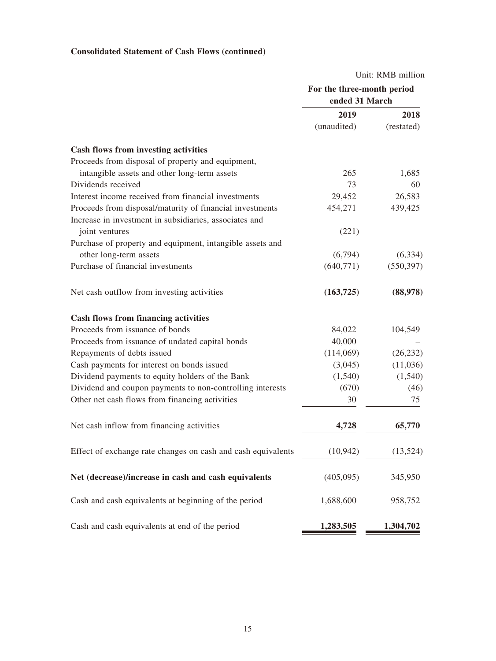# **Consolidated Statement of Cash Flows (continued)**

|                                                              | Unit: RMB million          |            |  |
|--------------------------------------------------------------|----------------------------|------------|--|
|                                                              | For the three-month period |            |  |
|                                                              | ended 31 March             |            |  |
|                                                              | 2019                       | 2018       |  |
|                                                              | (unaudited)                | (restated) |  |
| Cash flows from investing activities                         |                            |            |  |
| Proceeds from disposal of property and equipment,            |                            |            |  |
| intangible assets and other long-term assets                 | 265                        | 1,685      |  |
| Dividends received                                           | 73                         | 60         |  |
| Interest income received from financial investments          | 29,452                     | 26,583     |  |
| Proceeds from disposal/maturity of financial investments     | 454,271                    | 439,425    |  |
| Increase in investment in subsidiaries, associates and       |                            |            |  |
| joint ventures                                               | (221)                      |            |  |
| Purchase of property and equipment, intangible assets and    |                            |            |  |
| other long-term assets                                       | (6,794)                    | (6, 334)   |  |
| Purchase of financial investments                            | (640,771)                  | (550, 397) |  |
| Net cash outflow from investing activities                   | (163, 725)                 | (88,978)   |  |
| <b>Cash flows from financing activities</b>                  |                            |            |  |
| Proceeds from issuance of bonds                              | 84,022                     | 104,549    |  |
| Proceeds from issuance of undated capital bonds              | 40,000                     |            |  |
| Repayments of debts issued                                   | (114,069)                  | (26, 232)  |  |
| Cash payments for interest on bonds issued                   | (3,045)                    | (11,036)   |  |
| Dividend payments to equity holders of the Bank              | (1,540)                    | (1,540)    |  |
| Dividend and coupon payments to non-controlling interests    | (670)                      | (46)       |  |
| Other net cash flows from financing activities               | 30                         | 75         |  |
| Net cash inflow from financing activities                    | 4,728                      | 65,770     |  |
| Effect of exchange rate changes on cash and cash equivalents | (10, 942)                  | (13, 524)  |  |
| Net (decrease)/increase in cash and cash equivalents         | (405,095)                  | 345,950    |  |
| Cash and cash equivalents at beginning of the period         | 1,688,600                  | 958,752    |  |
| Cash and cash equivalents at end of the period               | 1,283,505                  | 1,304,702  |  |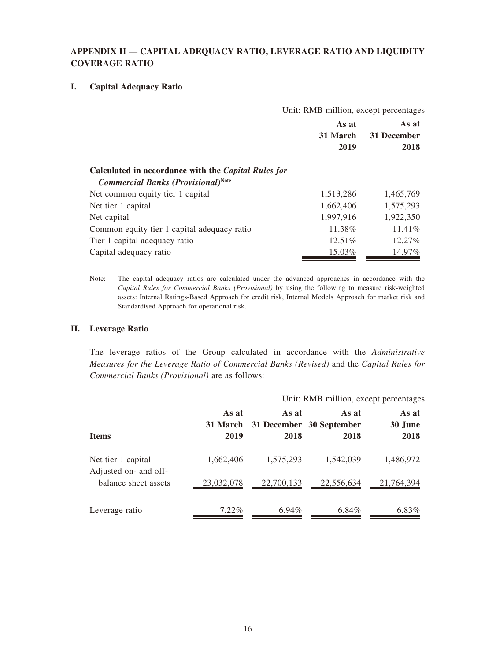# **APPENDIX II — CAPITAL ADEQUACY RATIO, LEVERAGE RATIO AND LIQUIDITY COVERAGE RATIO**

#### **I. Capital Adequacy Ratio**

|                                                                                                         | Unit: RMB million, except percentages |                              |
|---------------------------------------------------------------------------------------------------------|---------------------------------------|------------------------------|
|                                                                                                         | As at<br>31 March<br>2019             | As at<br>31 December<br>2018 |
| Calculated in accordance with the <i>Capital Rules for</i><br><b>Commercial Banks (Provisional)Note</b> |                                       |                              |
| Net common equity tier 1 capital                                                                        | 1,513,286                             | 1,465,769                    |
| Net tier 1 capital                                                                                      | 1,662,406                             | 1,575,293                    |
| Net capital                                                                                             | 1,997,916                             | 1,922,350                    |
| Common equity tier 1 capital adequacy ratio                                                             | 11.38%                                | 11.41%                       |
| Tier 1 capital adequacy ratio                                                                           | 12.51%                                | 12.27%                       |
| Capital adequacy ratio                                                                                  | 15.03%                                | 14.97%                       |

Note: The capital adequacy ratios are calculated under the advanced approaches in accordance with the *Capital Rules for Commercial Banks (Provisional)* by using the following to measure risk-weighted assets: Internal Ratings-Based Approach for credit risk, Internal Models Approach for market risk and Standardised Approach for operational risk.

### **II. Leverage Ratio**

The leverage ratios of the Group calculated in accordance with the *Administrative Measures for the Leverage Ratio of Commercial Banks (Revised)* and the *Capital Rules for Commercial Banks (Provisional)* are as follows:

|                                             |                           | Unit: RMB million, except percentages |                                           |                          |
|---------------------------------------------|---------------------------|---------------------------------------|-------------------------------------------|--------------------------|
| <b>Items</b>                                | As at<br>31 March<br>2019 | As at<br>2018                         | As at<br>31 December 30 September<br>2018 | As at<br>30 June<br>2018 |
| Net tier 1 capital<br>Adjusted on- and off- | 1,662,406                 | 1,575,293                             | 1,542,039                                 | 1,486,972                |
| balance sheet assets                        | 23,032,078                | 22,700,133                            | 22,556,634                                | 21,764,394               |
| Leverage ratio                              | $7.22\%$                  | $6.94\%$                              | 6.84%                                     | 6.83%                    |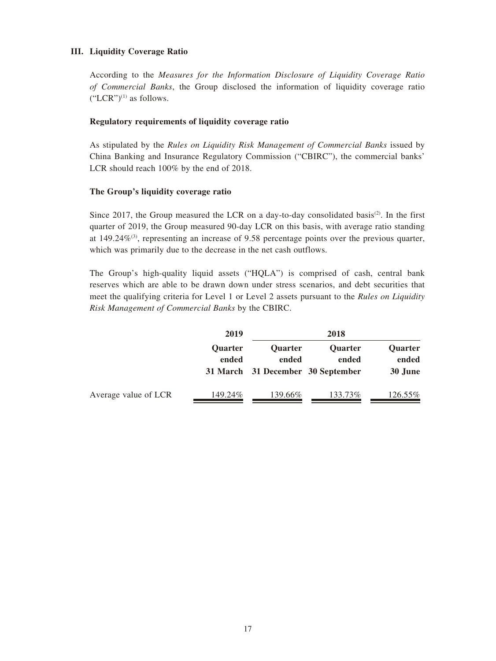#### **III. Liquidity Coverage Ratio**

According to the *Measures for the Information Disclosure of Liquidity Coverage Ratio of Commercial Banks*, the Group disclosed the information of liquidity coverage ratio  $("LCR")^{(1)}$  as follows.

#### **Regulatory requirements of liquidity coverage ratio**

As stipulated by the *Rules on Liquidity Risk Management of Commercial Banks* issued by China Banking and Insurance Regulatory Commission ("CBIRC"), the commercial banks' LCR should reach 100% by the end of 2018.

#### **The Group's liquidity coverage ratio**

Since 2017, the Group measured the LCR on a day-to-day consolidated basis<sup>(2)</sup>. In the first quarter of 2019, the Group measured 90-day LCR on this basis, with average ratio standing at 149.24%<sup>(3)</sup>, representing an increase of 9.58 percentage points over the previous quarter, which was primarily due to the decrease in the net cash outflows.

The Group's high-quality liquid assets ("HQLA") is comprised of cash, central bank reserves which are able to be drawn down under stress scenarios, and debt securities that meet the qualifying criteria for Level 1 or Level 2 assets pursuant to the *Rules on Liquidity Risk Management of Commercial Banks* by the CBIRC.

|                      | 2019                    |                                                              | 2018                    |                             |
|----------------------|-------------------------|--------------------------------------------------------------|-------------------------|-----------------------------|
|                      | <b>Ouarter</b><br>ended | <b>Ouarter</b><br>ended<br>31 March 31 December 30 September | <b>Ouarter</b><br>ended | Quarter<br>ended<br>30 June |
| Average value of LCR | 149.24%                 | 139.66%                                                      | 133.73%                 | 126.55%                     |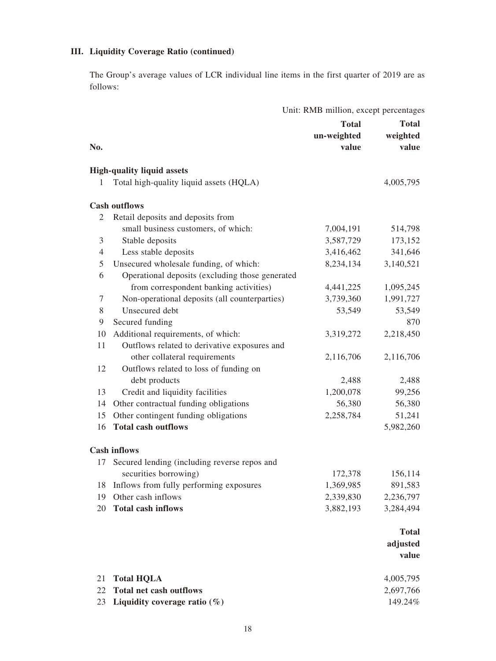## **III. Liquidity Coverage Ratio (continued)**

The Group's average values of LCR individual line items in the first quarter of 2019 are as follows:

|     | Unit: RMB million, except percentages           |              |              |
|-----|-------------------------------------------------|--------------|--------------|
|     |                                                 | <b>Total</b> | <b>Total</b> |
|     |                                                 | un-weighted  | weighted     |
| No. |                                                 | value        | value        |
|     | <b>High-quality liquid assets</b>               |              |              |
| 1   | Total high-quality liquid assets (HQLA)         |              | 4,005,795    |
|     | <b>Cash outflows</b>                            |              |              |
| 2   | Retail deposits and deposits from               |              |              |
|     | small business customers, of which:             | 7,004,191    | 514,798      |
| 3   | Stable deposits                                 | 3,587,729    | 173,152      |
| 4   | Less stable deposits                            | 3,416,462    | 341,646      |
| 5   | Unsecured wholesale funding, of which:          | 8,234,134    | 3,140,521    |
| 6   | Operational deposits (excluding those generated |              |              |
|     | from correspondent banking activities)          | 4,441,225    | 1,095,245    |
| 7   | Non-operational deposits (all counterparties)   | 3,739,360    | 1,991,727    |
| 8   | Unsecured debt                                  | 53,549       | 53,549       |
| 9   | Secured funding                                 |              | 870          |
| 10  | Additional requirements, of which:              | 3,319,272    | 2,218,450    |
| 11  | Outflows related to derivative exposures and    |              |              |
|     | other collateral requirements                   | 2,116,706    | 2,116,706    |
| 12  | Outflows related to loss of funding on          |              |              |
|     | debt products                                   | 2,488        | 2,488        |
| 13  | Credit and liquidity facilities                 | 1,200,078    | 99,256       |
| 14  | Other contractual funding obligations           | 56,380       | 56,380       |
| 15  | Other contingent funding obligations            | 2,258,784    | 51,241       |
| 16  | <b>Total cash outflows</b>                      |              | 5,982,260    |
|     | <b>Cash inflows</b>                             |              |              |
| 17  | Secured lending (including reverse repos and    |              |              |
|     | securities borrowing)                           | 172,378      | 156,114      |
| 18  | Inflows from fully performing exposures         | 1,369,985    | 891,583      |
| 19  | Other cash inflows                              | 2,339,830    | 2,236,797    |
| 20  | <b>Total cash inflows</b>                       | 3,882,193    | 3,284,494    |

# **Total adjusted**

|                                     | value     |
|-------------------------------------|-----------|
| 21 Total HQLA                       | 4.005.795 |
| 22 Total net cash outflows          | 2.697.766 |
| 23 Liquidity coverage ratio $(\% )$ | 149.24%   |